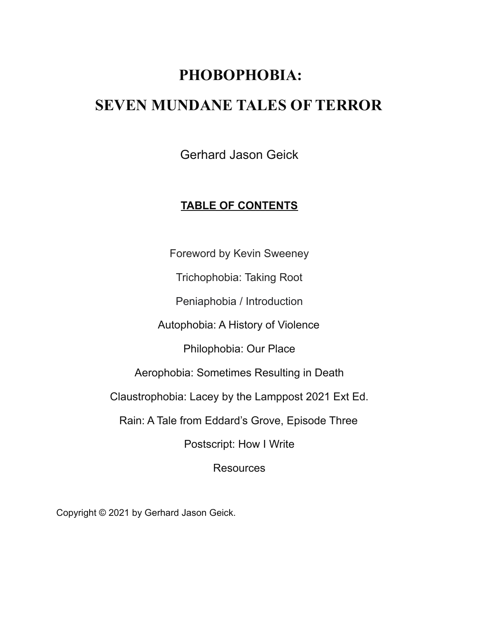# **PHOBOPHOBIA:**

## **SEVEN MUNDANE TALES OF TERROR**

Gerhard Jason Geick

### **TABLE OF CONTENTS**

Foreword by Kevin Sweeney

Trichophobia: Taking Root

Peniaphobia / Introduction

Autophobia: A History of Violence

Philophobia: Our Place

Aerophobia: Sometimes Resulting in Death

Claustrophobia: Lacey by the Lamppost 2021 Ext Ed.

Rain: A Tale from Eddard's Grove, Episode Three

Postscript: How I Write

Resources

Copyright © 2021 by Gerhard Jason Geick.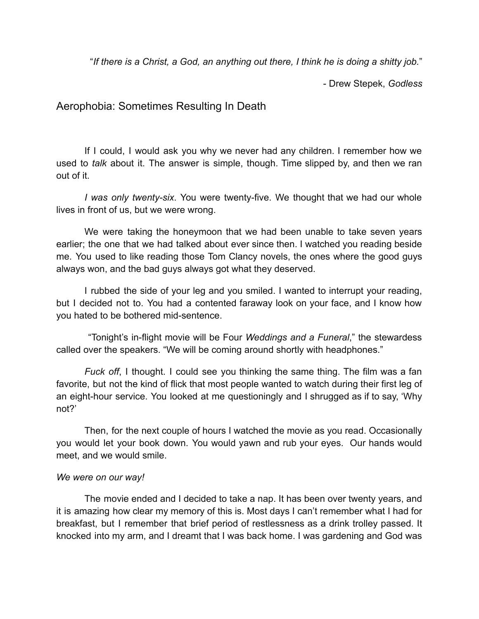"*If there is a Christ, a God, an anything out there, I think he is doing a shitty job.*"

- Drew Stepek, *Godless*

### Aerophobia: Sometimes Resulting In Death

If I could, I would ask you why we never had any children. I remember how we used to *talk* about it. The answer is simple, though. Time slipped by, and then we ran out of it.

*I was only twenty-six*. You were twenty-five. We thought that we had our whole lives in front of us, but we were wrong.

We were taking the honeymoon that we had been unable to take seven years earlier; the one that we had talked about ever since then. I watched you reading beside me. You used to like reading those Tom Clancy novels, the ones where the good guys always won, and the bad guys always got what they deserved.

I rubbed the side of your leg and you smiled. I wanted to interrupt your reading, but I decided not to. You had a contented faraway look on your face, and I know how you hated to be bothered mid-sentence.

"Tonight's in-flight movie will be Four *Weddings and a Funeral*," the stewardess called over the speakers. "We will be coming around shortly with headphones."

*Fuck off*, I thought. I could see you thinking the same thing. The film was a fan favorite, but not the kind of flick that most people wanted to watch during their first leg of an eight-hour service. You looked at me questioningly and I shrugged as if to say, 'Why not?'

Then, for the next couple of hours I watched the movie as you read. Occasionally you would let your book down. You would yawn and rub your eyes. Our hands would meet, and we would smile.

#### *We were on our way!*

The movie ended and I decided to take a nap. It has been over twenty years, and it is amazing how clear my memory of this is. Most days I can't remember what I had for breakfast, but I remember that brief period of restlessness as a drink trolley passed. It knocked into my arm, and I dreamt that I was back home. I was gardening and God was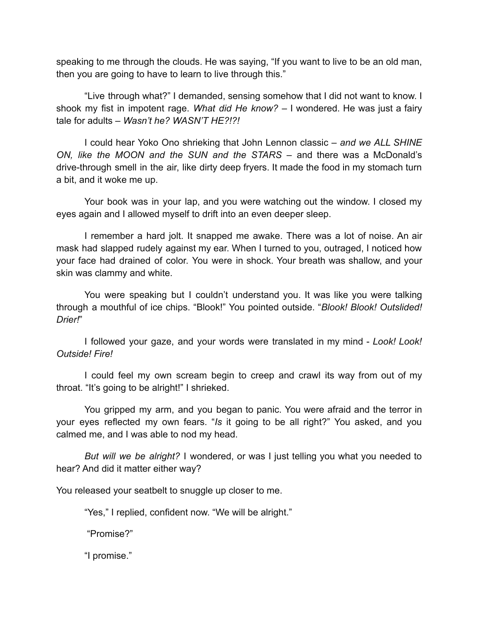speaking to me through the clouds. He was saying, "If you want to live to be an old man, then you are going to have to learn to live through this."

"Live through what?" I demanded, sensing somehow that I did not want to know. I shook my fist in impotent rage. *What did He know?* – I wondered. He was just a fairy tale for adults – *Wasn't he? WASN'T HE?!?!*

I could hear Yoko Ono shrieking that John Lennon classic – *and we ALL SHINE ON, like the MOON and the SUN and the STARS* – and there was a McDonald's drive-through smell in the air, like dirty deep fryers. It made the food in my stomach turn a bit, and it woke me up.

Your book was in your lap, and you were watching out the window. I closed my eyes again and I allowed myself to drift into an even deeper sleep.

I remember a hard jolt. It snapped me awake. There was a lot of noise. An air mask had slapped rudely against my ear. When I turned to you, outraged, I noticed how your face had drained of color. You were in shock. Your breath was shallow, and your skin was clammy and white.

You were speaking but I couldn't understand you. It was like you were talking through a mouthful of ice chips. "Blook!" You pointed outside. "*Blook! Blook! Outslided! Drier!*"

I followed your gaze, and your words were translated in my mind - *Look! Look! Outside! Fire!*

I could feel my own scream begin to creep and crawl its way from out of my throat. "It's going to be alright!" I shrieked.

You gripped my arm, and you began to panic. You were afraid and the terror in your eyes reflected my own fears. "*Is* it going to be all right?" You asked, and you calmed me, and I was able to nod my head.

*But will we be alright?* I wondered, or was I just telling you what you needed to hear? And did it matter either way?

You released your seatbelt to snuggle up closer to me.

"Yes," I replied, confident now. "We will be alright."

"Promise?"

"I promise."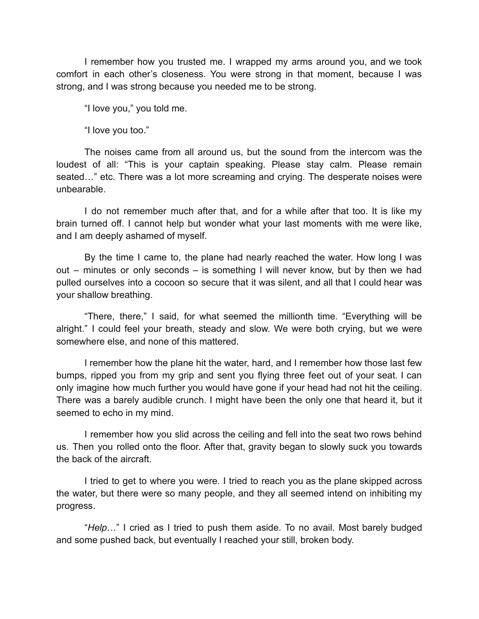I remember how you trusted me. I wrapped my arms around you, and we took comfort in each other's closeness. You were strong in that moment, because I was strong, and I was strong because you needed me to be strong.

"I love you," you told me.

"I love you too."

The noises came from all around us, but the sound from the intercom was the loudest of all: "This is your captain speaking. Please stay calm. Please remain seated…" etc. There was a lot more screaming and crying. The desperate noises were unbearable.

I do not remember much after that, and for a while after that too. It is like my brain turned off. I cannot help but wonder what your last moments with me were like, and I am deeply ashamed of myself.

By the time I came to, the plane had nearly reached the water. How long I was out – minutes or only seconds – is something I will never know, but by then we had pulled ourselves into a cocoon so secure that it was silent, and all that I could hear was your shallow breathing.

"There, there," I said, for what seemed the millionth time. "Everything will be alright." I could feel your breath, steady and slow. We were both crying, but we were somewhere else, and none of this mattered.

I remember how the plane hit the water, hard, and I remember how those last few bumps, ripped you from my grip and sent you flying three feet out of your seat. I can only imagine how much further you would have gone if your head had not hit the ceiling. There was a barely audible crunch. I might have been the only one that heard it, but it seemed to echo in my mind.

I remember how you slid across the ceiling and fell into the seat two rows behind us. Then you rolled onto the floor. After that, gravity began to slowly suck you towards the back of the aircraft.

I tried to get to where you were. I tried to reach you as the plane skipped across the water, but there were so many people, and they all seemed intend on inhibiting my progress.

"*Help*…" I cried as I tried to push them aside. To no avail. Most barely budged and some pushed back, but eventually I reached your still, broken body.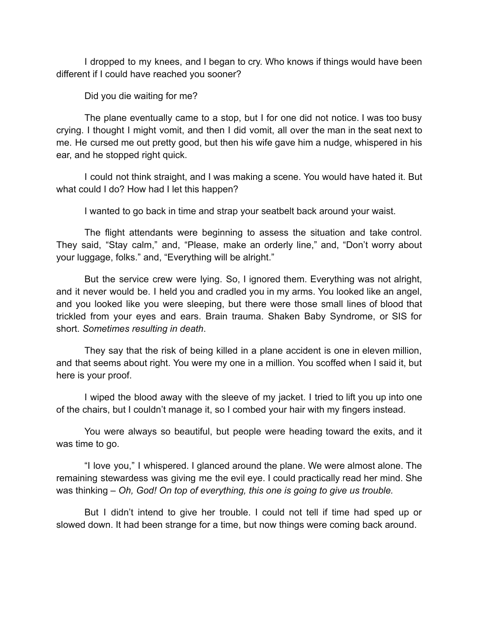I dropped to my knees, and I began to cry. Who knows if things would have been different if I could have reached you sooner?

Did you die waiting for me?

The plane eventually came to a stop, but I for one did not notice. I was too busy crying. I thought I might vomit, and then I did vomit, all over the man in the seat next to me. He cursed me out pretty good, but then his wife gave him a nudge, whispered in his ear, and he stopped right quick.

I could not think straight, and I was making a scene. You would have hated it. But what could I do? How had I let this happen?

I wanted to go back in time and strap your seatbelt back around your waist.

The flight attendants were beginning to assess the situation and take control. They said, "Stay calm," and, "Please, make an orderly line," and, "Don't worry about your luggage, folks." and, "Everything will be alright."

But the service crew were lying. So, I ignored them. Everything was not alright, and it never would be. I held you and cradled you in my arms. You looked like an angel, and you looked like you were sleeping, but there were those small lines of blood that trickled from your eyes and ears. Brain trauma. Shaken Baby Syndrome, or SIS for short. *Sometimes resulting in death*.

They say that the risk of being killed in a plane accident is one in eleven million, and that seems about right. You were my one in a million. You scoffed when I said it, but here is your proof.

I wiped the blood away with the sleeve of my jacket. I tried to lift you up into one of the chairs, but I couldn't manage it, so I combed your hair with my fingers instead.

You were always so beautiful, but people were heading toward the exits, and it was time to go.

"I love you," I whispered. I glanced around the plane. We were almost alone. The remaining stewardess was giving me the evil eye. I could practically read her mind. She was thinking – *Oh, God! On top of everything, this one is going to give us trouble.*

But I didn't intend to give her trouble. I could not tell if time had sped up or slowed down. It had been strange for a time, but now things were coming back around.